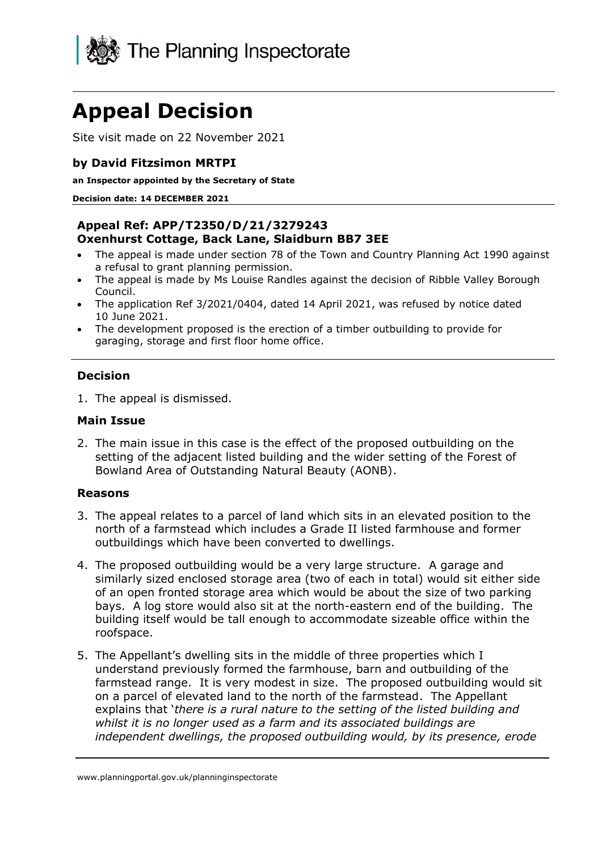

# **Appeal Decision**

Site visit made on 22 November 2021

## **by David Fitzsimon MRTPI**

**an Inspector appointed by the Secretary of State**

#### **Decision date: 14 DECEMBER 2021**

#### **Appeal Ref: APP/T2350/D/21/3279243 Oxenhurst Cottage, Back Lane, Slaidburn BB7 3EE**

- The appeal is made under section 78 of the Town and Country Planning Act 1990 against a refusal to grant planning permission.
- The appeal is made by Ms Louise Randles against the decision of Ribble Valley Borough Council.
- The application Ref 3/2021/0404, dated 14 April 2021, was refused by notice dated 10 June 2021.
- The development proposed is the erection of a timber outbuilding to provide for garaging, storage and first floor home office.

## **Decision**

1. The appeal is dismissed.

#### **Main Issue**

2. The main issue in this case is the effect of the proposed outbuilding on the setting of the adjacent listed building and the wider setting of the Forest of Bowland Area of Outstanding Natural Beauty (AONB).

#### **Reasons**

- 3. The appeal relates to a parcel of land which sits in an elevated position to the north of a farmstead which includes a Grade II listed farmhouse and former outbuildings which have been converted to dwellings.
- 4. The proposed outbuilding would be a very large structure. A garage and similarly sized enclosed storage area (two of each in total) would sit either side of an open fronted storage area which would be about the size of two parking bays. A log store would also sit at the north-eastern end of the building. The building itself would be tall enough to accommodate sizeable office within the roofspace.
- 5. The Appellant's dwelling sits in the middle of three properties which I understand previously formed the farmhouse, barn and outbuilding of the farmstead range. It is very modest in size. The proposed outbuilding would sit on a parcel of elevated land to the north of the farmstead. The Appellant explains that '*there is a rural nature to the setting of the listed building and whilst it is no longer used as a farm and its associated buildings are independent dwellings, the proposed outbuilding would, by its presence, erode*